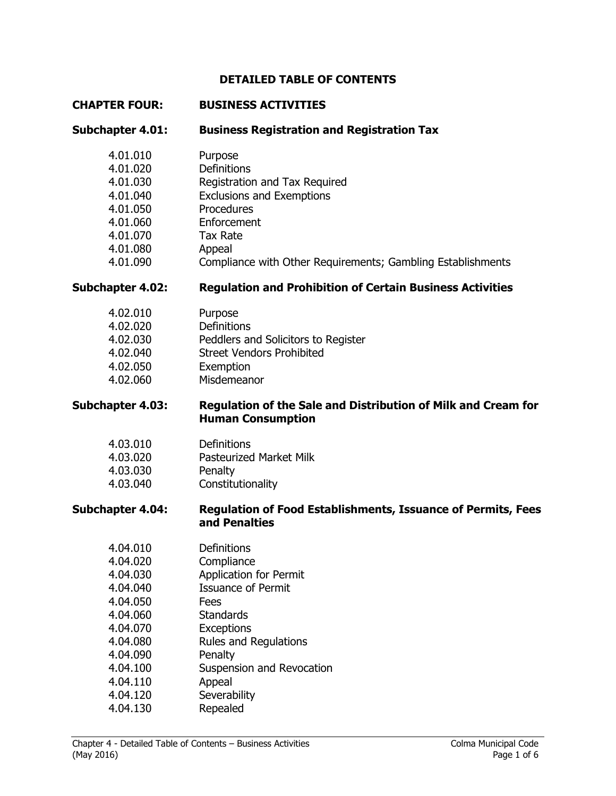## **DETAILED TABLE OF CONTENTS**

#### **CHAPTER FOUR: BUSINESS ACTIVITIES**

**Subchapter 4.01: Business Registration and Registration Tax**

| 4.01.010 | Purpose                                                     |
|----------|-------------------------------------------------------------|
| 4.01.020 | <b>Definitions</b>                                          |
| 4.01.030 | Registration and Tax Reguired                               |
| 4.01.040 | <b>Exclusions and Exemptions</b>                            |
| 4.01.050 | Procedures                                                  |
| 4.01.060 | Enforcement                                                 |
| 4.01.070 | <b>Tax Rate</b>                                             |
| 4.01.080 | Appeal                                                      |
| 4.01.090 | Compliance with Other Requirements; Gambling Establishments |
|          |                                                             |

# **Subchapter 4.02: Regulation and Prohibition of Certain Business Activities**

| 4.02.010 | Purpose                             |
|----------|-------------------------------------|
| 4.02.020 | Definitions                         |
| 4.02.030 | Peddlers and Solicitors to Register |
| 4.02.040 | <b>Street Vendors Prohibited</b>    |
| 4.02.050 | Exemption                           |
| 4.02.060 | Misdemeanor                         |
|          |                                     |

### **Subchapter 4.03: Regulation of the Sale and Distribution of Milk and Cream for Human Consumption**

| 4.03.010 | Definitions                    |
|----------|--------------------------------|
| 4.03.020 | <b>Pasteurized Market Milk</b> |
| 4.03.030 | Penalty                        |
| 4.03.040 | Constitutionality              |

#### **Subchapter 4.04: Regulation of Food Establishments, Issuance of Permits, Fees and Penalties**

| 4.04.010 | Definitions                   |
|----------|-------------------------------|
| 4.04.020 | Compliance                    |
| 4.04.030 | <b>Application for Permit</b> |
| 4.04.040 | <b>Issuance of Permit</b>     |
| 4.04.050 | Fees                          |
| 4.04.060 | <b>Standards</b>              |
| 4.04.070 | <b>Exceptions</b>             |
| 4.04.080 | <b>Rules and Regulations</b>  |
| 4.04.090 | Penalty                       |
| 4.04.100 | Suspension and Revocation     |
| 4.04.110 | Appeal                        |
| 4.04.120 | Severability                  |
| 4.04.130 | Repealed                      |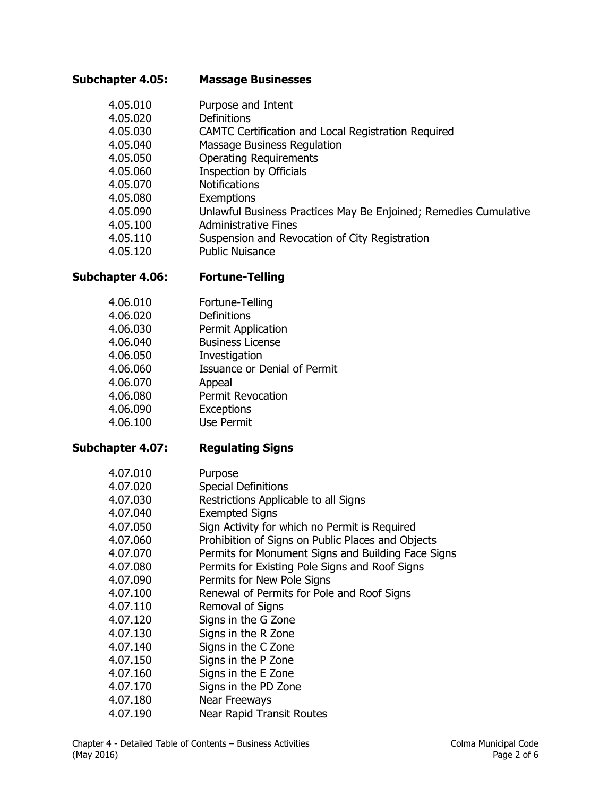#### **Subchapter 4.05: Massage Businesses**

- 4.05.010 Purpose and Intent 4.05.020 Definitions
- 4.05.030 CAMTC Certification and Local Registration Required
- 4.05.040 Massage Business Regulation
- 4.05.050 Operating Requirements
- 4.05.060 Inspection by Officials
- 4.05.070 Notifications
- 4.05.080 Exemptions
- 4.05.090 Unlawful Business Practices May Be Enjoined; Remedies Cumulative
- 4.05.100 Administrative Fines
- 4.05.110 Suspension and Revocation of City Registration
- 4.05.120 Public Nuisance

# **Subchapter 4.06: Fortune-Telling**

- 4.06.010 Fortune-Telling
- 4.06.020 Definitions
- 4.06.030 Permit Application
- 4.06.040 Business License
- 4.06.050 Investigation
- 4.06.060 Issuance or Denial of Permit
- 4.06.070 Appeal
- 4.06.080 Permit Revocation
- 4.06.090 Exceptions
- 4.06.100 Use Permit

# **Subchapter 4.07: Regulating Signs**

| 4.07.010 | Purpose                                            |
|----------|----------------------------------------------------|
| 4.07.020 | <b>Special Definitions</b>                         |
| 4.07.030 | Restrictions Applicable to all Signs               |
| 4.07.040 | <b>Exempted Signs</b>                              |
| 4.07.050 | Sign Activity for which no Permit is Required      |
| 4.07.060 | Prohibition of Signs on Public Places and Objects  |
| 4.07.070 | Permits for Monument Signs and Building Face Signs |
| 4.07.080 | Permits for Existing Pole Signs and Roof Signs     |
| 4.07.090 | Permits for New Pole Signs                         |
| 4.07.100 | Renewal of Permits for Pole and Roof Signs         |
| 4.07.110 | Removal of Signs                                   |
| 4.07.120 | Signs in the G Zone                                |
| 4.07.130 | Signs in the R Zone                                |
| 4.07.140 | Signs in the C Zone                                |
| 4.07.150 | Signs in the P Zone                                |
| 4.07.160 | Signs in the E Zone                                |
| 4.07.170 | Signs in the PD Zone                               |
| 4.07.180 | <b>Near Freeways</b>                               |
| 4.07.190 | <b>Near Rapid Transit Routes</b>                   |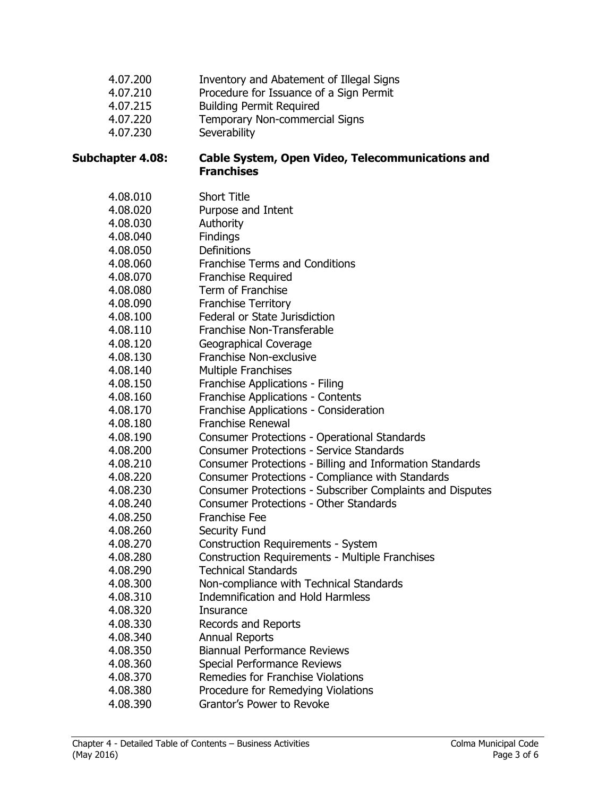| 4.07.200<br>4.07.210<br>4.07.215<br>4.07.220<br>4.07.230 | Inventory and Abatement of Illegal Signs<br>Procedure for Issuance of a Sign Permit<br><b>Building Permit Required</b><br>Temporary Non-commercial Signs<br>Severability |
|----------------------------------------------------------|--------------------------------------------------------------------------------------------------------------------------------------------------------------------------|
| Subchapter 4.08:                                         | Cable System, Open Video, Telecommunications and<br><b>Franchises</b>                                                                                                    |
| 4.08.010                                                 | <b>Short Title</b>                                                                                                                                                       |
| 4.08.020                                                 | Purpose and Intent                                                                                                                                                       |
| 4.08.030                                                 | Authority                                                                                                                                                                |
| 4.08.040                                                 | Findings                                                                                                                                                                 |
| 4.08.050                                                 | <b>Definitions</b>                                                                                                                                                       |
| 4.08.060                                                 | <b>Franchise Terms and Conditions</b>                                                                                                                                    |
| 4.08.070                                                 | <b>Franchise Required</b>                                                                                                                                                |
| 4.08.080                                                 | Term of Franchise                                                                                                                                                        |
| 4.08.090                                                 | <b>Franchise Territory</b>                                                                                                                                               |
| 4.08.100                                                 | Federal or State Jurisdiction                                                                                                                                            |
| 4.08.110                                                 | Franchise Non-Transferable                                                                                                                                               |
| 4.08.120                                                 | Geographical Coverage                                                                                                                                                    |
| 4.08.130                                                 | Franchise Non-exclusive                                                                                                                                                  |
| 4.08.140                                                 | <b>Multiple Franchises</b>                                                                                                                                               |
| 4.08.150                                                 | Franchise Applications - Filing                                                                                                                                          |
| 4.08.160                                                 | Franchise Applications - Contents                                                                                                                                        |
| 4.08.170                                                 | Franchise Applications - Consideration                                                                                                                                   |
| 4.08.180                                                 | <b>Franchise Renewal</b>                                                                                                                                                 |
| 4.08.190                                                 | Consumer Protections - Operational Standards                                                                                                                             |
| 4.08.200                                                 | <b>Consumer Protections - Service Standards</b>                                                                                                                          |
| 4.08.210                                                 | Consumer Protections - Billing and Information Standards                                                                                                                 |
| 4.08.220                                                 | Consumer Protections - Compliance with Standards                                                                                                                         |
| 4.08.230                                                 | Consumer Protections - Subscriber Complaints and Disputes                                                                                                                |
| 4.08.240                                                 | Consumer Protections - Other Standards                                                                                                                                   |
| 4.08.250                                                 | <b>Franchise Fee</b>                                                                                                                                                     |
| 4.08.260                                                 | Security Fund                                                                                                                                                            |
| 4.08.270                                                 | <b>Construction Requirements - System</b>                                                                                                                                |
| 4.08.280                                                 | <b>Construction Requirements - Multiple Franchises</b>                                                                                                                   |
| 4.08.290                                                 | <b>Technical Standards</b>                                                                                                                                               |
| 4.08.300                                                 | Non-compliance with Technical Standards                                                                                                                                  |
| 4.08.310                                                 | <b>Indemnification and Hold Harmless</b>                                                                                                                                 |
| 4.08.320                                                 | <b>Insurance</b>                                                                                                                                                         |
| 4.08.330                                                 | Records and Reports                                                                                                                                                      |
| 4.08.340                                                 | <b>Annual Reports</b>                                                                                                                                                    |
| 4.08.350                                                 | <b>Biannual Performance Reviews</b>                                                                                                                                      |
| 4.08.360                                                 | Special Performance Reviews                                                                                                                                              |
| 4.08.370                                                 | Remedies for Franchise Violations                                                                                                                                        |
| 4.08.380                                                 | Procedure for Remedying Violations                                                                                                                                       |
| 4.08.390                                                 | Grantor's Power to Revoke                                                                                                                                                |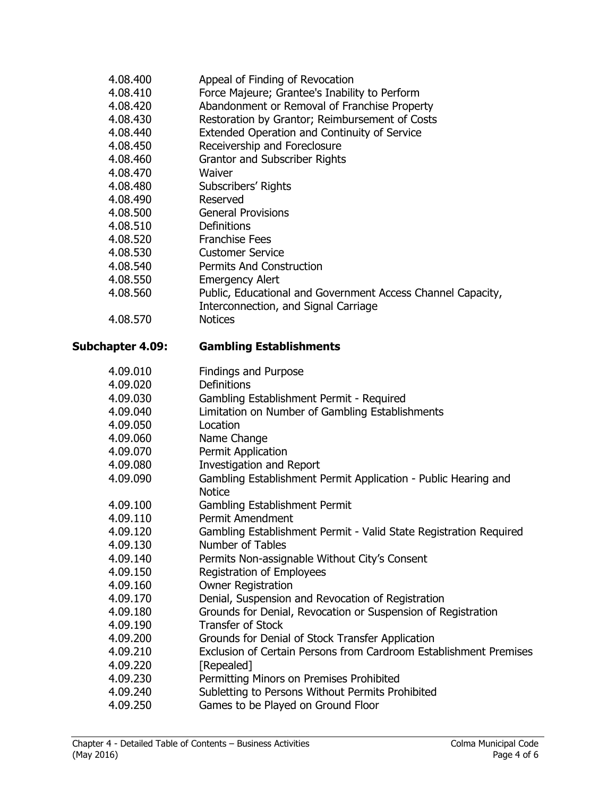| 4.08.400                | Appeal of Finding of Revocation                                   |
|-------------------------|-------------------------------------------------------------------|
| 4.08.410                | Force Majeure; Grantee's Inability to Perform                     |
| 4.08.420                | Abandonment or Removal of Franchise Property                      |
| 4.08.430                | Restoration by Grantor; Reimbursement of Costs                    |
| 4.08.440                | Extended Operation and Continuity of Service                      |
| 4.08.450                | Receivership and Foreclosure                                      |
| 4.08.460                | Grantor and Subscriber Rights                                     |
| 4.08.470                | Waiver                                                            |
| 4.08.480                | Subscribers' Rights                                               |
| 4.08.490                | Reserved                                                          |
| 4.08.500                | <b>General Provisions</b>                                         |
| 4.08.510                | Definitions                                                       |
| 4.08.520                | <b>Franchise Fees</b>                                             |
| 4.08.530                | <b>Customer Service</b>                                           |
| 4.08.540                | <b>Permits And Construction</b>                                   |
| 4.08.550                | <b>Emergency Alert</b>                                            |
| 4.08.560                | Public, Educational and Government Access Channel Capacity,       |
|                         | Interconnection, and Signal Carriage                              |
| 4.08.570                | <b>Notices</b>                                                    |
|                         |                                                                   |
| <b>Subchapter 4.09:</b> | <b>Gambling Establishments</b>                                    |
| 4.09.010                | <b>Findings and Purpose</b>                                       |
| 4.09.020                | Definitions                                                       |
| 4.09.030                | Gambling Establishment Permit - Required                          |
| 4.09.040                | Limitation on Number of Gambling Establishments                   |
| 4.09.050                | Location                                                          |
| 4.09.060                | Name Change                                                       |
| 4.09.070                | Permit Application                                                |
| 4.09.080                | <b>Investigation and Report</b>                                   |
| 4.09.090                | Gambling Establishment Permit Application - Public Hearing and    |
|                         | <b>Notice</b>                                                     |
| 4.09.100                | Gambling Establishment Permit                                     |
| 4.09.110                | Permit Amendment                                                  |
| 4.09.120                | Gambling Establishment Permit - Valid State Registration Required |
| 4.09.130                | Number of Tables                                                  |
| 4.09.140                | Permits Non-assignable Without City's Consent                     |
| 4.09.150                | <b>Registration of Employees</b>                                  |
| 4.09.160                | <b>Owner Registration</b>                                         |
| 4.09.170                | Denial, Suspension and Revocation of Registration                 |
| 4.09.180                | Grounds for Denial, Revocation or Suspension of Registration      |
| 4.09.190                | <b>Transfer of Stock</b>                                          |
| 4.09.200                | Grounds for Denial of Stock Transfer Application                  |
| 4.09.210                | Exclusion of Certain Persons from Cardroom Establishment Premises |
| 4.09.220                | [Repealed]                                                        |
| 4.09.230                | Permitting Minors on Premises Prohibited                          |
| 4.09.240                | Subletting to Persons Without Permits Prohibited                  |
| 4.09.250                | Games to be Played on Ground Floor                                |
|                         |                                                                   |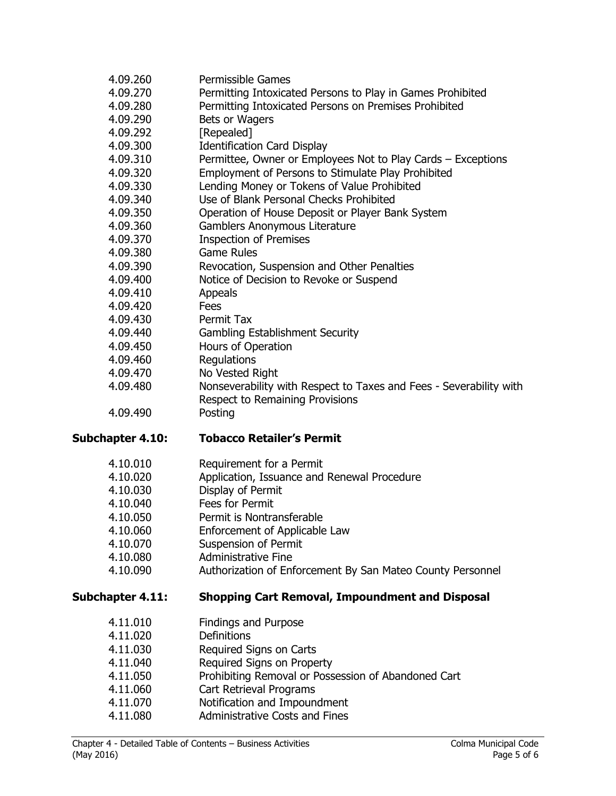| 4.09.260                     | Permissible Games                                                     |
|------------------------------|-----------------------------------------------------------------------|
| 4.09.270                     | Permitting Intoxicated Persons to Play in Games Prohibited            |
| 4.09.280                     | Permitting Intoxicated Persons on Premises Prohibited                 |
| 4.09.290                     | Bets or Wagers                                                        |
| 4.09.292                     | [Repealed]                                                            |
| 4.09.300                     | <b>Identification Card Display</b>                                    |
| 4.09.310                     | Permittee, Owner or Employees Not to Play Cards - Exceptions          |
| 4.09.320                     | Employment of Persons to Stimulate Play Prohibited                    |
| 4.09.330                     | Lending Money or Tokens of Value Prohibited                           |
|                              | Use of Blank Personal Checks Prohibited                               |
| 4.09.340                     |                                                                       |
| 4.09.350                     | Operation of House Deposit or Player Bank System                      |
| 4.09.360                     | Gamblers Anonymous Literature                                         |
| 4.09.370                     | <b>Inspection of Premises</b>                                         |
| 4.09.380                     | <b>Game Rules</b>                                                     |
| 4.09.390                     | Revocation, Suspension and Other Penalties                            |
| 4.09.400                     | Notice of Decision to Revoke or Suspend                               |
| 4.09.410                     | Appeals                                                               |
| 4.09.420                     | Fees                                                                  |
| 4.09.430                     | Permit Tax                                                            |
| 4.09.440                     | <b>Gambling Establishment Security</b>                                |
| 4.09.450                     | Hours of Operation                                                    |
| 4.09.460                     | Regulations                                                           |
| 4.09.470                     | No Vested Right                                                       |
| 4.09.480                     | Nonseverability with Respect to Taxes and Fees - Severability with    |
|                              | Respect to Remaining Provisions                                       |
|                              | Posting                                                               |
| 4.09.490                     |                                                                       |
| Subchapter 4.10:             | <b>Tobacco Retailer's Permit</b>                                      |
|                              |                                                                       |
| 4.10.010                     | Requirement for a Permit                                              |
| 4.10.020                     | Application, Issuance and Renewal Procedure                           |
| 4.10.030                     | Display of Permit                                                     |
| 4.10.040                     | Fees for Permit                                                       |
| 4.10.050                     | Permit is Nontransferable                                             |
| 4.10.060                     | Enforcement of Applicable Law                                         |
| 4.10.070                     | <b>Suspension of Permit</b>                                           |
| 4.10.080                     | <b>Administrative Fine</b>                                            |
| 4.10.090                     | Authorization of Enforcement By San Mateo County Personnel            |
|                              | <b>Shopping Cart Removal, Impoundment and Disposal</b>                |
|                              |                                                                       |
| 4.11.010                     | <b>Findings and Purpose</b>                                           |
| Subchapter 4.11:<br>4.11.020 | Definitions                                                           |
| 4.11.030                     | Required Signs on Carts                                               |
| 4.11.040                     | Required Signs on Property                                            |
| 4.11.050                     | Prohibiting Removal or Possession of Abandoned Cart                   |
| 4.11.060                     | Cart Retrieval Programs                                               |
| 4.11.070<br>4.11.080         | Notification and Impoundment<br><b>Administrative Costs and Fines</b> |